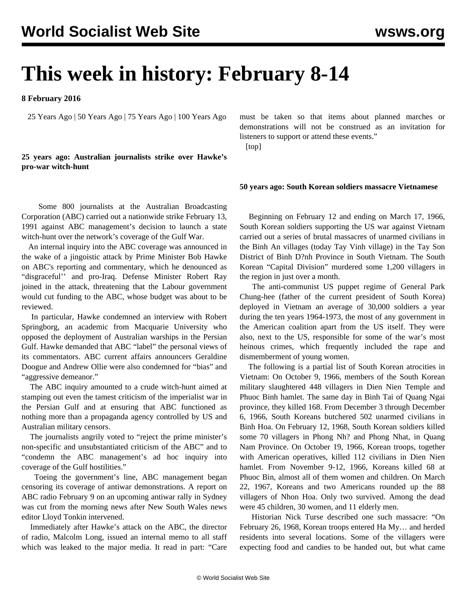# **This week in history: February 8-14**

**8 February 2016**

25 Years Ago | 50 Years Ago | 75 Years Ago | 100 Years Ago

# **25 years ago: Australian journalists strike over Hawke's pro-war witch-hunt**

 Some 800 journalists at the Australian Broadcasting Corporation (ABC) carried out a nationwide strike February 13, 1991 against ABC management's decision to launch a state witch-hunt over the network's coverage of the Gulf War.

 An internal inquiry into the ABC coverage was announced in the wake of a jingoistic attack by Prime Minister Bob Hawke on ABC's reporting and commentary, which he denounced as "disgraceful'' and pro-Iraq. Defense Minister Robert Ray joined in the attack, threatening that the Labour government would cut funding to the ABC, whose budget was about to be reviewed.

 In particular, Hawke condemned an interview with Robert Springborg, an academic from Macquarie University who opposed the deployment of Australian warships in the Persian Gulf. Hawke demanded that ABC "label" the personal views of its commentators. ABC current affairs announcers Geraldine Doogue and Andrew Ollie were also condemned for "bias" and "aggressive demeanor."

 The ABC inquiry amounted to a crude witch-hunt aimed at stamping out even the tamest criticism of the imperialist war in the Persian Gulf and at ensuring that ABC functioned as nothing more than a propaganda agency controlled by US and Australian military censors.

 The journalists angrily voted to "reject the prime minister's non-specific and unsubstantiated criticism of the ABC" and to "condemn the ABC management's ad hoc inquiry into coverage of the Gulf hostilities."

 Toeing the government's line, ABC management began censoring its coverage of antiwar demonstrations. A report on ABC radio February 9 on an upcoming antiwar rally in Sydney was cut from the morning news after New South Wales news editor Lloyd Tonkin intervened.

 Immediately after Hawke's attack on the ABC, the director of radio, Malcolm Long, issued an internal memo to all staff which was leaked to the major media. It read in part: "Care must be taken so that items about planned marches or demonstrations will not be construed as an invitation for listeners to support or attend these events."

[top]

### **50 years ago: South Korean soldiers massacre Vietnamese**

 Beginning on February 12 and ending on March 17, 1966, South Korean soldiers supporting the US war against Vietnam carried out a series of brutal massacres of unarmed civilians in the Binh An villages (today Tay Vinh village) in the Tay Son District of Binh D?nh Province in South Vietnam. The South Korean "Capital Division" murdered some 1,200 villagers in the region in just over a month.

 The anti-communist US puppet regime of General Park Chung-hee (father of the current president of South Korea) deployed in Vietnam an average of 30,000 soldiers a year during the ten years 1964-1973, the most of any government in the American coalition apart from the US itself. They were also, next to the US, responsible for some of the war's most heinous crimes, which frequently included the rape and dismemberment of young women.

 The following is a partial list of South Korean atrocities in Vietnam: On October 9, 1966, members of the South Korean military slaughtered 448 villagers in Dien Nien Temple and Phuoc Binh hamlet. The same day in Binh Tai of Quang Ngai province, they killed 168. From December 3 through December 6, 1966, South Koreans butchered 502 unarmed civilians in Binh Hoa. On February 12, 1968, South Korean soldiers killed some 70 villagers in Phong Nh? and Phong Nhat, in Quang Nam Province. On October 19, 1966, Korean troops, together with American operatives, killed 112 civilians in Dien Nien hamlet. From November 9-12, 1966, Koreans killed 68 at Phuoc Bin, almost all of them women and children. On March 22, 1967, Koreans and two Americans rounded up the 88 villagers of Nhon Hoa. Only two survived. Among the dead were 45 children, 30 women, and 11 elderly men.

 Historian Nick Turse described one such massacre: "On February 26, 1968, Korean troops entered Ha My… and herded residents into several locations. Some of the villagers were expecting food and candies to be handed out, but what came